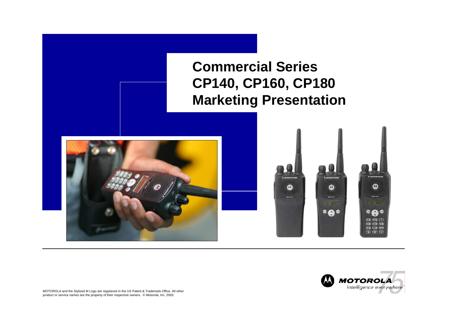**Commercial Series CP140, CP160, CP180 Marketing Presentation**





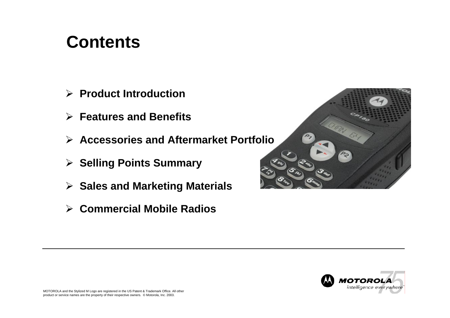#### **Contents**

- ¾ **Product Introduction**
- ¾ **Features and Benefits**
- ¾ **Accessories and Aftermarket Portfolio**
- ¾ **Selling Points Summary**
- ¾ **Sales and Marketing Materials**
- ¾ **Commercial Mobile Radios**

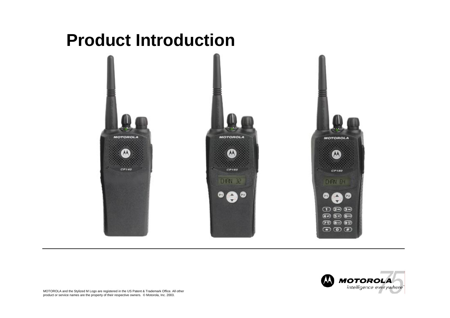#### **Product Introduction**



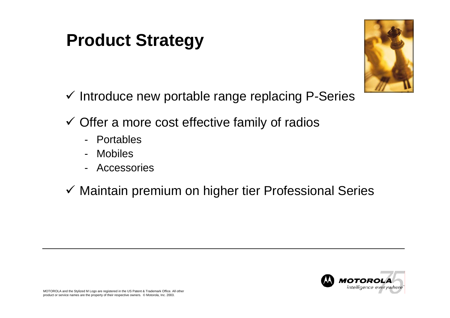### **Product Strategy**



- $\checkmark$  Introduce new portable range replacing P-Series
- $\checkmark$  Offer a more cost effective family of radios
	- -Portables
	- -Mobiles
	- -Accessories
- $\checkmark$  Maintain premium on higher tier Professional Series

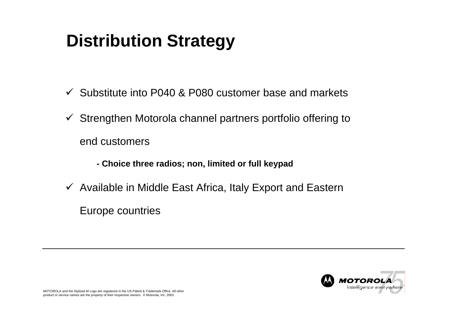## **Distribution Strategy**

- $\checkmark$  Substitute into P040 & P080 customer base and markets
- $\checkmark$  Strengthen Motorola channel partners portfolio offering to end customers
	- **- Choice three radios; non, limited or full keypad**
- $\checkmark$  Available in Middle East Africa, Italy Export and Eastern Europe countries

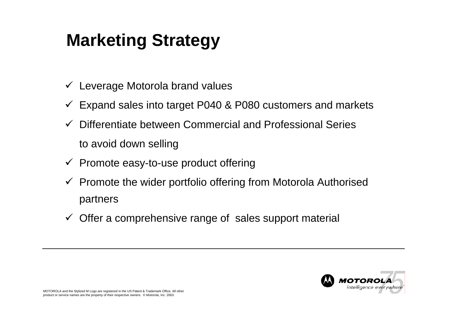# **Marketing Strategy**

- $\checkmark$  Leverage Motorola brand values
- $\checkmark$  Expand sales into target P040 & P080 customers and markets
- $\checkmark$  Differentiate between Commercial and Professional Series to avoid down selling
- $\checkmark$  Promote easy-to-use product offering
- $\checkmark$  Promote the wider portfolio offering from Motorola Authorised partners
- $\checkmark$  Offer a comprehensive range of sales support material

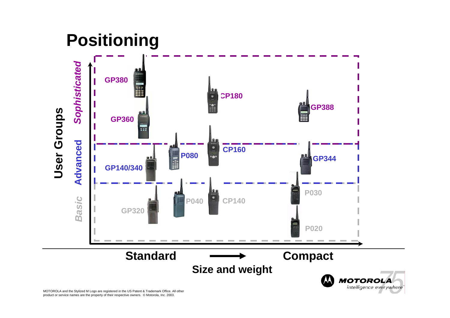### **Positioning**

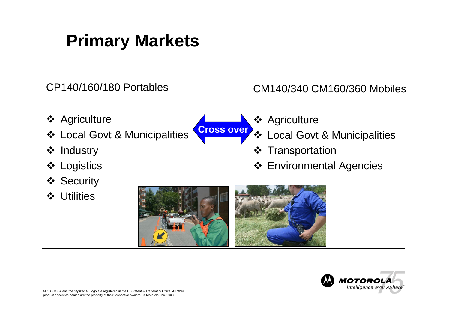### **Primary Markets**

CP140/160/180 Portables

- **❖ Agriculture**
- **❖ Local Govt & Municipalities**
- ❖ Industry
- **❖ Logistics**
- **❖ Security**
- **❖** Utilities



CM140/340 CM160/360 Mobiles

- **❖ Agriculture**
- **❖ Local Govt & Municipalities**
- ❖ Transportation
- Environmental Agencies



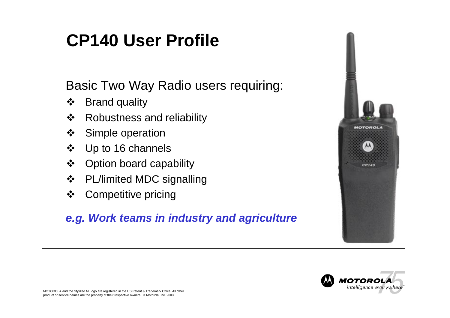## **CP140 User Profile**

#### Basic Two Way Radio users requiring:

- $\frac{1}{2}$ Brand quality
- $\frac{1}{2}$ Robustness and reliability
- $\frac{1}{2}$ Simple operation
- Up to 16 channels
- $\frac{1}{2}$ Option board capability
- $\frac{1}{2}$ PL/limited M DC signalling
- $\frac{1}{2}$ Competitive pricing

#### *e.g. Work teams in industry and agriculture*



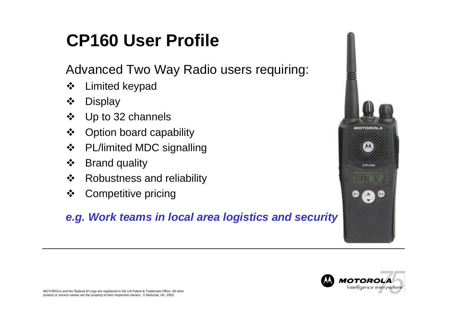# **CP160 User Profile**

Advanced Two Way Radio users requiring:

- $\frac{1}{2}$ Limited keypad
- $\frac{1}{2}$ **Display**
- $\frac{1}{2}$ Up to 32 channels
- $\frac{1}{2}$ Option board capability
- $\frac{1}{2}$ PL/limited M DC signalling
- $\frac{1}{2}$ Brand quality
- $\frac{1}{2}$ Robustness and reliability
- $\frac{1}{2}$ Competitive pricing

#### *e.g. Work teams in local area logistics and security*



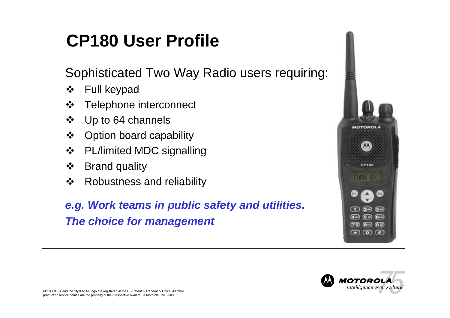# **CP180 User Profile**

Sophisticated Two Way Radio users requiring:

- $\frac{1}{2}$ Full keypad
- $\frac{1}{2}$ Telephone interconnect
- $\frac{1}{2}$ Up to 64 channels
- $\frac{1}{2}$ Option board capability
- $\frac{1}{2}$ PL/limited M DC signalling
- $\frac{1}{2}$ Brand quality
- $\frac{1}{2}$ Robustness and reliability

*e.g. Work teams in public safety and utilities. The choice for management*



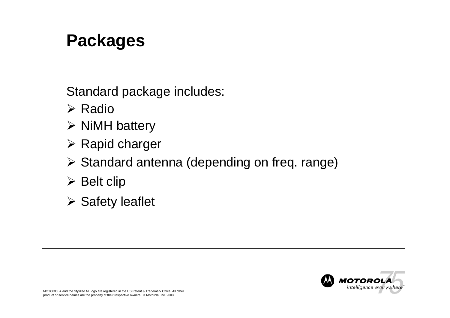#### **Packages**

Standard package includes:

- ¾ Radio
- $\triangleright$  NiMH battery
- $\triangleright$  Rapid charger
- ¾ Standard antenna (depending on freq. range)
- $\triangleright$  Belt clip
- $\triangleright$  Safety leaflet

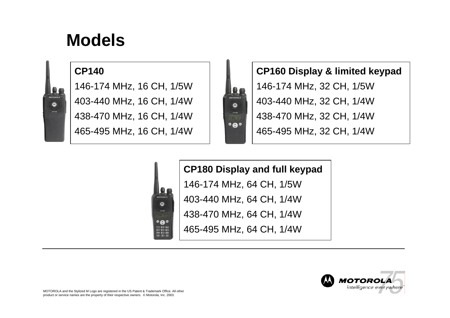#### **Models**

#### **CP140**

 $\overline{\mathbf{a}}$ 

146-174 MHz, 16 CH, 1/5W 403-440 MHz, 16 CH, 1/4W 438-470 MHz, 16 CH, 1/4W 465-495 MHz, 16 CH, 1/4W

 $\boldsymbol{\Omega}$ 

 $\bullet$  $\bullet$  $\bigcirc$  2  $\bigcirc$  $\overline{49}$   $\overline{59}$   $\overline{6}$  $(70)$  8 9 9 7  $\overline{a}$   $\overline{a}$ 



**CP160 Display & limited keypad** 146-174 MHz, 32 CH, 1/5W 403-440 MHz, 32 CH, 1/4W 438-470 MHz, 32 CH, 1/4W 465-495 MHz, 32 CH, 1/4W

#### **CP180 Display and full keypad**

146-174 MHz, 64 CH, 1/5W

403-440 MHz, 64 CH, 1/4W

438-470 MHz, 64 CH, 1/4W

465-495 MHz, 64 CH, 1/4W



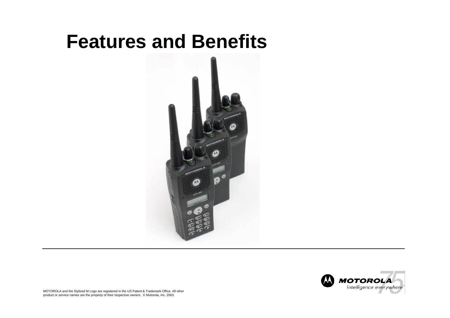## **Features and Benefits**



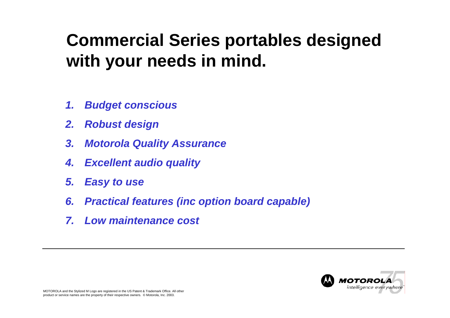## **Commercial Series portables designed with your needs in mind.**

- *1.Budget conscious*
- *2.Robust design*
- *3. Motorola Quality Assurance*
- *4.Excellent audio quality*
- *5. Easy to use*
- *6. Practical features (inc option board capab le)*
- *7. Low maintenance cost*

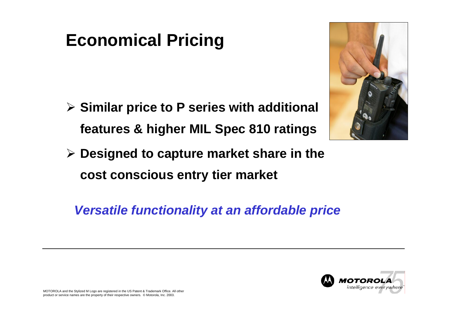### **Economical Pricing**

¾ **Similar price to P series with additional features & higher MIL Spec 810 ratings**



¾ **Designed to capture market share in the cost conscious entry tier market**

*Versatile functionality at an affordable price*

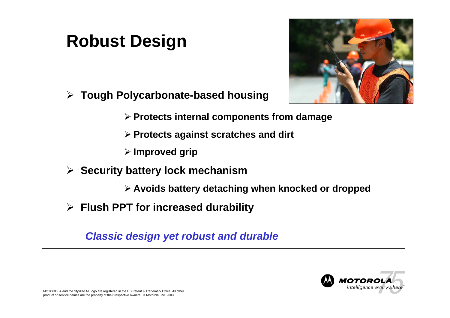### **Robust Design**



- ¾ **Tough Polycarbonate-based housing**
	- ¾ **Protects internal components from damage**
	- ¾ **Protects against scratches and dirt**
	- ¾ **Improved grip**
- ¾ **Security battery lock mechanism**
	- ¾ **Avoids battery detaching when knocked or dropped**
- ¾ **Flush PPT for increased durability**

*Classic design yet robust and durable*

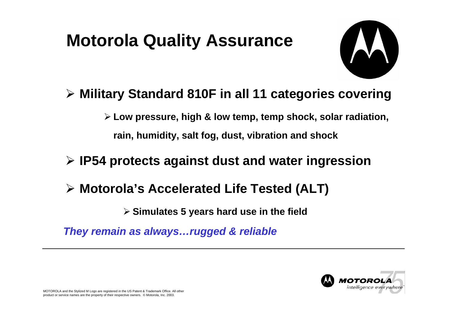## **Motorola Quality Assurance**



#### ¾ **Military Standard 810F in all 11 categories covering**

¾ **Low pressure, high & low temp, temp shock, solar radiation, rain, humidity, salt fog, dust, vibration and shock** 

#### ¾ **IP54 protects against dust and water ingression**

¾ **Motorola's Accelerated Life Tested (ALT)**

¾ **Simulates 5 years hard use in the field**

*They remain as a lways…rugged & reliable*

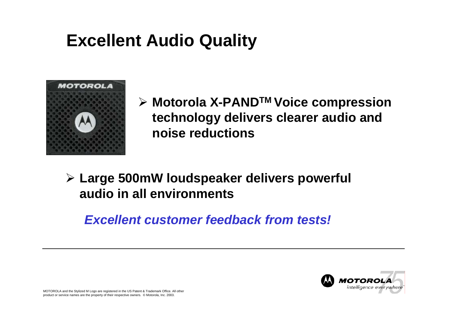## **Excellent Audio Quality**



¾ **Motorola X-PANDTM Voice compression technology delivers clearer audio and noise reductions**

#### ¾ **Large 500mW loudspeaker delivers powerful audio in all environments**

#### *Excellent customer feedback from tests!*

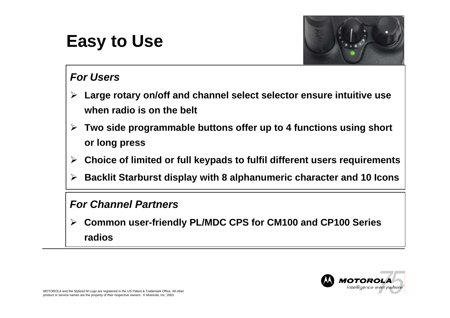## **Easy to Use**



#### *For Users*

- $\blacktriangleright$  **Large rotary on/off and channel select selector ensure intuitive use when radio is on the belt**
- ¾ **Two side programmable buttons offer up to 4 functions using short or long press**
- $\blacktriangleright$ **Choice of limited or full keypads to fulfil different users requirements**
- $\blacktriangleright$ **Backlit Starburst display with 8 alphanumeric character and 10 Icons**

#### *For Channel Partners*

 $\blacktriangleright$  **Common user-friendly PL/MDC CPS for CM100 and CP100 Series radios**

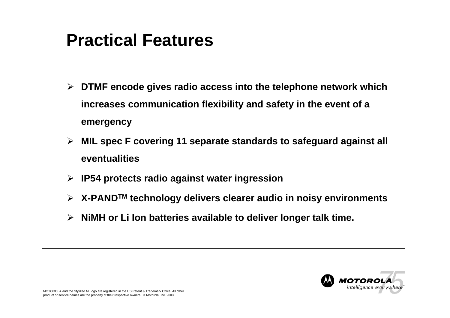### **Practical Features**

- ¾ **DTMF encode gives radio access into the telephone network which increases communication flexibility and safety in the event of a emergency**
- ¾ **MIL spec F covering 11 separate standards to safeguard against all eventualities**
- ¾ **IP54 protects radio against water ingression**
- ¾ **X-PANDTM technology delivers clearer audio in noisy environments**
- ¾ **NiMH or Li Ion batteries available to deliver longer talk time.**

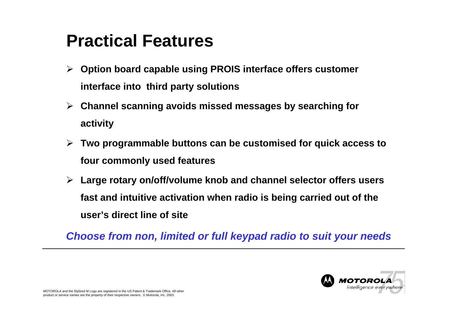### **Practical Features**

- ¾ **Option board capable using PROIS interface offers customer interface into third party solutions**
- ¾ **Channel scanning avoids missed messages by searching for activity**
- ¾ **Two programmable buttons can be customised for quick access to four commonly used features**
- ¾ **Large rotary on/off/volume knob and channel selector offers users fast and intuitive activation when radio is being carried out of the user's direct line of site**

*Choose from non, limited or full keypad radio to suit your needs*

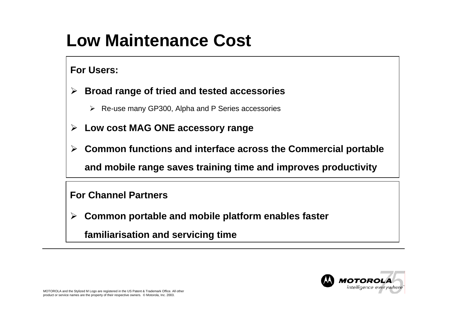## **Low Maintenance Cost**

**For Users:**

- ¾ **Broad range of tried and tested accessories**
	- ¾ Re-use many GP300, Alpha and P Series accessories
- ¾ **Low cost MAG ONE accessory range**
- $\blacktriangleright$  **Common functions and interface across the Commercial portable and mobile range saves training time and improves productivity**

**For Channel Partners**

¾**Common portable and mobile platform enables faster** 

**familiarisation and servicing tim e**

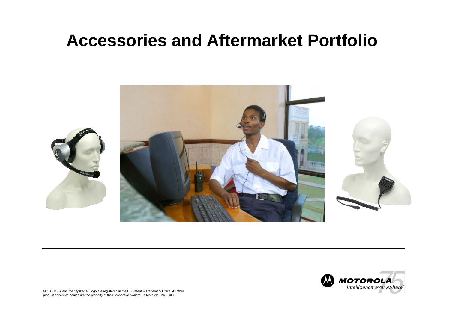#### **Accessories and Aftermarket Portfolio**



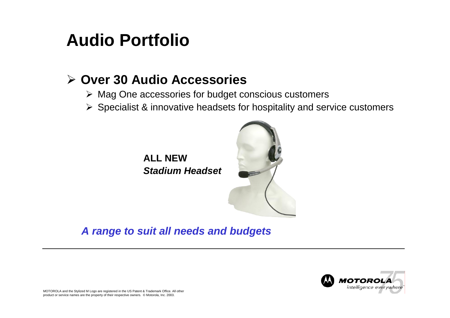### **Audio Portfolio**

#### ¾ **Over 30 Audio Accessories**

- ¾ Mag One accessories for budget conscious customers
- $\triangleright$  Specialist & innovative headsets for hospitality and service customers





*A range to suit a ll needs and budgets*

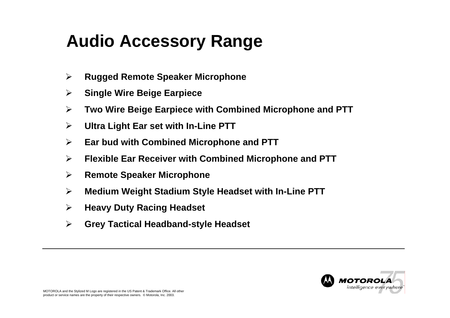# **Audio Accessory Range**

- $\blacktriangleright$ **Rugged Remote Speaker Microphone**
- $\blacktriangleright$ **Single Wire Beige Earpiece**
- $\blacktriangleright$ **Two Wire Beige Earpiece with Combined Microphone and PTT**
- $\blacktriangleright$ **Ultra Light E ar set with In-Line PTT**
- $\blacktriangleright$ **Ear bud with Combined Microphone and PTT**
- $\blacktriangleright$ **Flexible Ear Receiver with Combined Microphone and PTT**
- $\blacktriangleright$ **Remote Speaker Microphone**
- $\blacktriangleright$ **Medium Weight Stadium Style Headset with In-Line PTT**
- $\blacktriangleright$ **Heavy Duty Racing Headset**
- $\blacktriangleright$ **Grey Tactical Headband-style Headset**

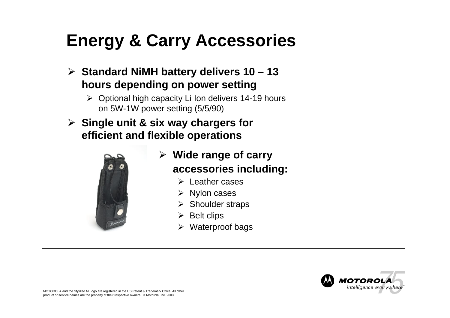## **Energy & Carry Accessories**

- ¾ **Standard NiMH battery delivers 10 – 13 hours depending on power setting** 
	- ¾ Optional high capacity Li Ion delivers 14-19 hours on 5W-1W power setting (5/5/90)
- ¾ **Single unit & six way chargers for efficient and flexible operations**



- ¾ **Wide range of carry accessories including:**
	- $\triangleright$  Leather cases
	- ¾ Nylon cases
	- ¾ Shoulder straps
	- $\triangleright$  Belt clips
	- $\triangleright$  Waterproof bags

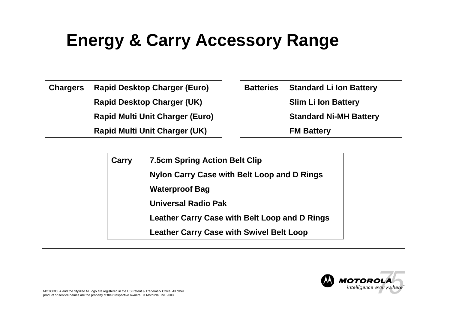# **Energy & Carry Accessory Range**

**Chargers Rapid Desktop Charger (Euro)**

**Rapid Desktop Charger (UK)**

**Rapid Multi Unit Charger (Euro)**

**Rapid Multi Unit Charger (UK)**

|  | <b>Batteries</b> Standard Li Ion Battery |  |  |
|--|------------------------------------------|--|--|
|  | <b>Slim Li Ion Battery</b>               |  |  |
|  | <b>Standard Ni-MH Battery</b>            |  |  |
|  | <b>FM Battery</b>                        |  |  |

**Carry 7.5cm S pring Action Belt Clip Nylon Carry C a s e with Belt Loop and D Rings Waterproof Bag Universal Radio PakLeather Ca r ry C a s e with Belt Loop and D Rings Leather Carry C a s e with Swivel Belt Loop**

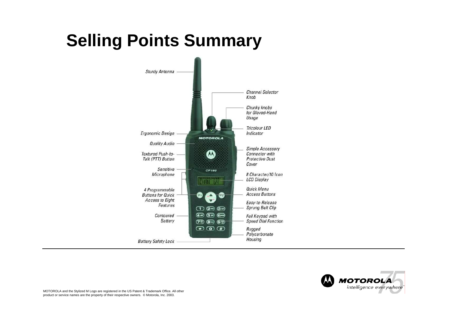# **Selling Points Summary**



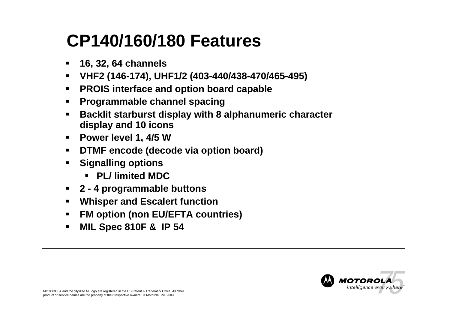### **CP140/160/180 Features**

- $\blacksquare$ **16, 32, 64 channels**
- $\blacksquare$ **VHF2 (146-174), UHF1/2 (403-440/438-470/465-495)**
- $\blacksquare$ **PROIS interface and option board capable**
- $\blacksquare$ **Programmable channel spacing**
- $\blacksquare$  **Backlit starburst display with 8 alphanumeric character display and 10 icons**
- $\blacksquare$ **Power level 1, 4/5 W**
- $\blacksquare$ **DTMF encode (decode via option board)**
- **Signalling options**
	- **PL/ limited MDC**
- **2 - 4 programmable buttons**
- $\blacksquare$ **Whisper and Escalert function**
- $\blacksquare$ **FM option (non EU/EFTA countries)**
- $\blacksquare$ **MIL Spec 810F & IP 54**

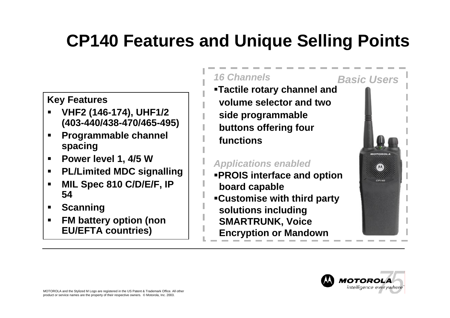# **CP140 Features and Unique Selling Points**

#### **Key Features**

- **VHF2 (146-174), UHF1/2 (403-440/438-470/465-495)**
- ▉ **Programmable channel spacing**
- **Power level 1, 4/5 W**
- $\blacksquare$ **PL/Limited MDC signalling**
- **MIL Spec 810 C/D/E/F, IP 54**
- **Scanning**
- **FM battery option (non EU/EFTA countries)**

#### *16 Channels*

**Tactile rotary channel and volume selector and two side programmable buttons offering four functions**

#### *Applications enabled*

- **PROIS interface and option board capable**
- **Customise with third party solutions including SMARTRUNK, Voice Encryption or Mandown**



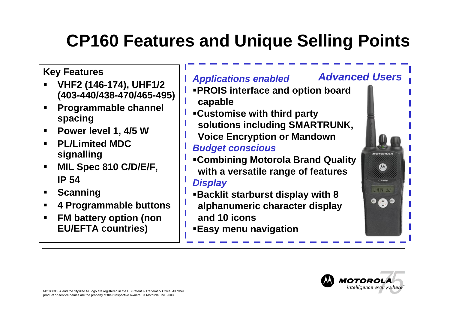# **CP160 Features and Unique Selling Points**

#### **Key Features**

- **VHF2 (146-174), UHF1/2 (403-440/438-470/465-495)**
- **Programmable channel spacing**
- ш **Power level 1, 4/5 W**
- **PL/Limited MDC signalling**
- **MIL Spec 810 C/D/E/F, IP 54**
- $\blacksquare$ **Scanning**
- $\blacksquare$ **4 Programmable buttons**
- **FM battery option (non EU/EFTA countries)**

#### *Applications enabled*

- **PROIS interface and option board**
- **capable**
- **Customise with third party**
- **solutions including SMARTRUNK,**
- **Voice Encryption or Mandown** *Budget conscious*
- **Combining Motorola Brand Quality with a versatile range of features**

#### *Display*

- **Backlit starburst display with 8**
- **alphanumeric character display and 10 icons**
- **Easy menu navigation**



**HOTOROL** 

 $\mathbf{\omega}$ 

 $CPI60$ **DHRN** 32

 $\bullet$   $\bullet$ 

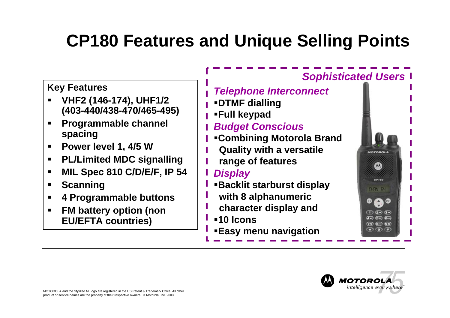# **CP180 Features and Unique Selling Points**

#### **Key Features**

- **VHF2 (146-174), UHF1/2 (403-440/438-470/465-495)**
- **Programmable channel spacing**
- $\blacksquare$ **Power level 1, 4/5 W**
- **PL/Limited MDC signalling**
- $\blacksquare$ **MIL Spec 810 C/D/E/F, IP 54**
- п **Scanning**
- **4 Programmable buttons**
- **FM battery option (non EU/EFTA countries)**

#### *Telephone Interconnect*

- **DTMF dialling**
- **Full keypad**

#### *Budget Conscious*

- **Combining Motorola Brand**
- **Quality with a versatile**
- **range of features**

#### *Display*

- **Backlit starburst display** 
	- **with 8 alphanumeric**
	- **character display and**
- **10 Icons**
- **Easy menu navigation**



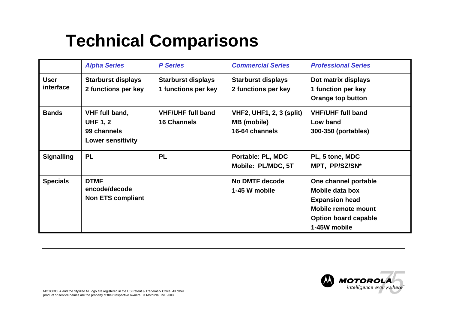### **Technical Comparisons**

|                          | <b>Alpha Series</b>                                                          | <b>P</b> Series                                  | <b>Commercial Series</b>                                                | <b>Professional Series</b>                                                                                                             |  |
|--------------------------|------------------------------------------------------------------------------|--------------------------------------------------|-------------------------------------------------------------------------|----------------------------------------------------------------------------------------------------------------------------------------|--|
| <b>User</b><br>interface | <b>Starburst displays</b><br>2 functions per key                             | <b>Starburst displays</b><br>1 functions per key | <b>Starburst displays</b><br>2 functions per key                        | Dot matrix displays<br>1 function per key<br><b>Orange top button</b>                                                                  |  |
| <b>Bands</b>             | VHF full band,<br><b>UHF 1, 2</b><br>99 channels<br><b>Lower sensitivity</b> | <b>VHF/UHF full band</b><br><b>16 Channels</b>   | <b>VHF2, UHF1, 2, 3 (split)</b><br><b>MB</b> (mobile)<br>16-64 channels | <b>VHF/UHF full band</b><br>Low band<br>300-350 (portables)                                                                            |  |
| <b>Signalling</b>        | <b>PL</b>                                                                    | <b>PL</b>                                        | Portable: PL, MDC<br>Mobile: PL/MDC, 5T                                 | PL, 5 tone, MDC<br>MPT, PP/SZ/SN*                                                                                                      |  |
| <b>Specials</b>          | <b>DTMF</b><br>encode/decode<br><b>Non ETS compliant</b>                     |                                                  | No DMTF decode<br>1-45 W mobile                                         | One channel portable<br>Mobile data box<br><b>Expansion head</b><br>Mobile remote mount<br><b>Option board capable</b><br>1-45W mobile |  |

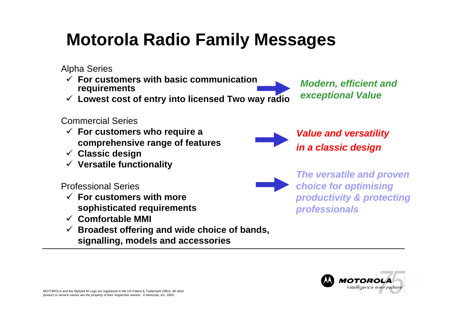# **Motorola Radio Family Messages**

Alpha Series

- $\checkmark$  **For customers with basic communication requirements**
- 9 **Lowest cost of entry into lice nsed Two way radio**

#### Commercial Series

- 9 **For customers who require a comprehensive range of fea tures**
- 9 **Classic design**
- 9 **V ersatile functionality**

Professional Series

- 9 **For customers with more sophisticated requirements**
- 9 **Comfortable MMI**
- 9 **Broadest offering and wide choice of bands, signalling, models and accessories**





*Value and versatility in a classic design*

*The versatile and proven choice for optimising productivity & protecting professionals*

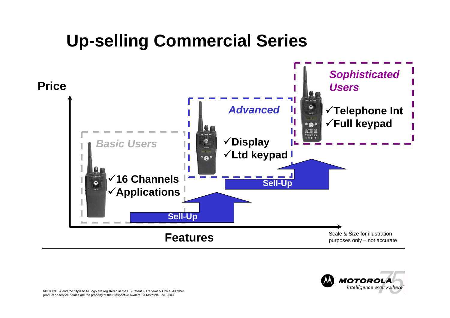## **Up-selling Commercial Series**



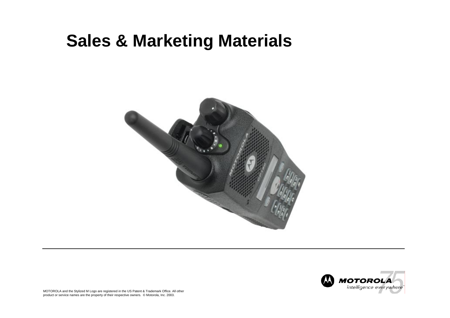#### **Sales & Marketing Materials**



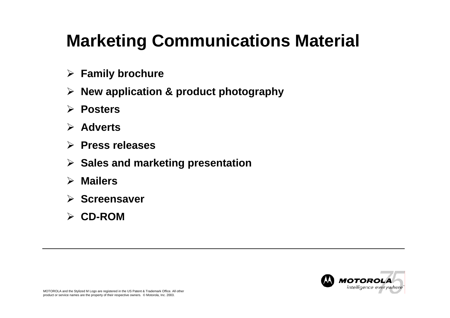# **Marketing Communications Material**

- ¾ **Family brochure**
- ¾ **New application & product photography**
- ¾ **Posters**
- ¾ **Adverts**
- ¾ **Press releases**
- ¾ **Sales and marketing presentation**
- ¾ **Mailers**
- ¾ **Screensaver**
- ¾ **CD-ROM**

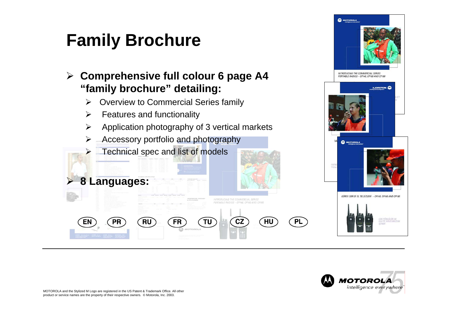# **Family Brochure**

¾ **Comprehensive full colour 6 page A4 "family brochure" detailing:**

- $\blacktriangleright$ Overview to Commercial Series family
- $\triangleright$  Features and functionality

**RU** 

 $\blacktriangleright$  $\triangleright$  Application photography of 3 vertical markets

**FR** 

**TU** 

- ¾ Accessory portfolio and photography
	- Technical spec and list of models



HU

**PL** 

INTRODUCING THE COMMERCIAL SERIES PORTABLE RADIOS - CP140, CP160 AND CP180

**CZ** 





**8 Languages:**

**PR** 

¾

EN

¾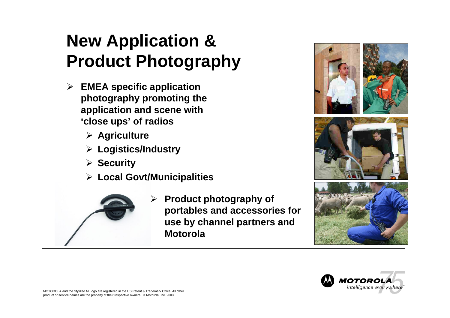# **New Application & Product Photography**

- ¾ **EMEA specific application photography promoting the application and scene with 'close ups' of radios**
	- ¾ **Agriculture**
	- ¾ **Logistics/Industry**
	- ¾ **Security**
	- ¾ **Local Govt/Municipalities**



¾ **Product photography of portables and accessories for use by channel partners and Motorola**



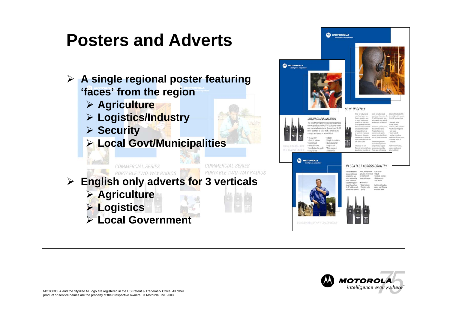### **Posters and Adverts**



- ¾ **Agriculture**
- ¾ **Logistics/Industry**
- ¾ **Security**
- ¾ **Local Govt/Municipalities**



| <b>MOTOROLA</b><br>ntelligence averywhere  |                                                                                                                                                                                                                                                                                                                                                                                                                                                                                              |                                                                                                                                                                                                         |                                                                                                                                                                                                                                                                                                                                                                                                                                                                                   |                                                                                                                                                                                                                                                                                                                                                                                                                                                                         |                                                                                                                                                                                                                                                                                                                                                                                                               |
|--------------------------------------------|----------------------------------------------------------------------------------------------------------------------------------------------------------------------------------------------------------------------------------------------------------------------------------------------------------------------------------------------------------------------------------------------------------------------------------------------------------------------------------------------|---------------------------------------------------------------------------------------------------------------------------------------------------------------------------------------------------------|-----------------------------------------------------------------------------------------------------------------------------------------------------------------------------------------------------------------------------------------------------------------------------------------------------------------------------------------------------------------------------------------------------------------------------------------------------------------------------------|-------------------------------------------------------------------------------------------------------------------------------------------------------------------------------------------------------------------------------------------------------------------------------------------------------------------------------------------------------------------------------------------------------------------------------------------------------------------------|---------------------------------------------------------------------------------------------------------------------------------------------------------------------------------------------------------------------------------------------------------------------------------------------------------------------------------------------------------------------------------------------------------------|
| VALUE & VERSATILITY<br>IN A CLASSIC DESIGN | URBAN COMMUNICATION<br>The new Motorola Commercial Series portable<br>two way radios are ideal for local government<br>and municipal operations. Choose from 16, 32<br>or 64 channels to liaise with a whole team,<br>a single workgroup or an individual.<br>$-16.32$ or $64$<br>· Robust<br>· Simple to maintain<br>channel options<br>· Quick menu for<br>· Economical<br>· Great features<br>easy access<br>. Excellent audio quality<br>. Wide range of<br>· Easy-to-use<br>accessories | <b>SE OF URGENCY</b><br>۰<br>٠e                                                                                                                                                                         | Small- to medium sized:<br>masufacturing and wore-<br>housing operations have:<br>ha and processes not<br>smoothly and scheduling<br>is strictly adhend to it these<br>Sine smithe presentats<br>accurate communication<br>among work fasems is<br>of paramount importance.<br>Management also reeds<br>down from trainers trainers<br>teams to maintain production<br>and realise quotas.<br>lititudicing the new<br>Moterota Centenercial Series<br>portable two way radice for | seul- to medium sized<br>specifions. Choose from 18.<br>32 or 64 channels to Value<br>with a whole team, a single<br>workgroup or an individual.<br>Economical, yet feature rich,<br>the Commercial Series<br>Fortuble Fladios forum<br>excelert auto quality.<br>went of sale, refrust shooger<br>and are simple to maintain.<br>for arthinoing the com-<br>marications experience a<br>comprehensive range of<br>acossories is available.<br>These span high capacity | batteries for extended talk-<br>time to lightweight headsets<br>for hands free operations.<br>· Ergonomic design<br>·Stundy antonna<br>. Textured push to talk button<br>*Chunky knobs for glowed<br>hand-usage<br>Cushly audio &<br>installate introphone<br>· Quick menu for easy access.<br>. Contoured battery &<br>safety lock<br>for further information.<br>sontact your Motorota<br>authorized dealer |
|                                            | <b>MOTOROLA</b><br>telligence everywhere<br>VALUE & VERSATILITY IN A CLASSIC DESIGN                                                                                                                                                                                                                                                                                                                                                                                                          | The new Motorola<br>Commercial Series<br>portable hvio way<br>radios are ideal for<br>snall to nedun-<br>sized farming opera-<br>tions. Choose from<br>16. 32 or 64 channels<br>to liaise with a whole. | team, a single work- Easy to use<br>group or an individual . Robust<br>over extended<br>prographic areas.<br>· Economical<br>· Great fastures<br>·Escellent audio<br>mality<br>۵                                                                                                                                                                                                                                                                                                  | IN CONTACT ACROSS COUNTRY<br>· Simple to maintain<br>. Quick menu for<br><b>EBSV JCCRES</b><br>For Nather information,<br>contact your Motorola<br>authorised douler                                                                                                                                                                                                                                                                                                    |                                                                                                                                                                                                                                                                                                                                                                                                               |

 $\mathbf{\Omega}$  MOTOROLA

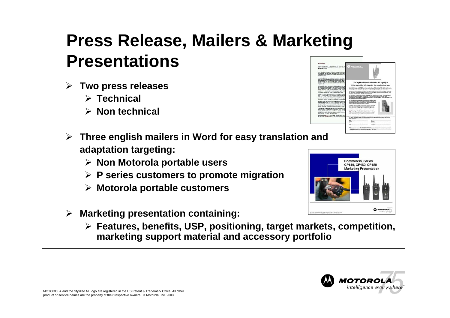#### **Press Release, Mailers & Marketing Presentations**A POOTABLE OF OFFICE

- ¾ **Two press releases**
	- ¾ **Technical**
	- ¾ **Non technical**
- ¾ **Three english mailers in Word for easy translation and adaptation targeting:**
	- ¾ **Non Motorola portable users**
	- ¾ **P series customers to promote migration**
	- ¾ **Motorola portable customers**
- ¾ **Marketing presentation containing:**
	- ¾ **Features, benefits, USP, positioning, target markets, competition, marketing support material and accessory portfolio**







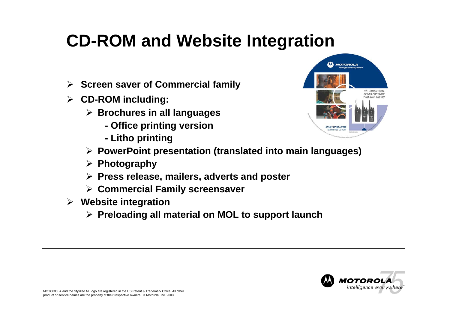# **CD-ROM and Website Integration**

- ¾ **Screen saver of Commercial family**
- ¾ **CD-ROM including:**
	- ¾ **Brochures in all languages**
		- **- Office printing version**
		- **- Litho printing**



- ¾ **PowerPoint presentation (translated into main languages)**
- ¾ **Photography**
- ¾ **Press release, mailers, adverts and poster**
- ¾ **Commercial Family screensaver**
- ¾ **Website integration**
	- ¾ **Preloading all material on MOL to support launch**

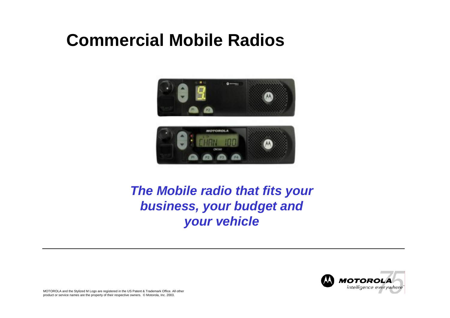### **Commercial Mobile Radios**



#### *The Mobile radio that fits your business, your budget and your vehicle*

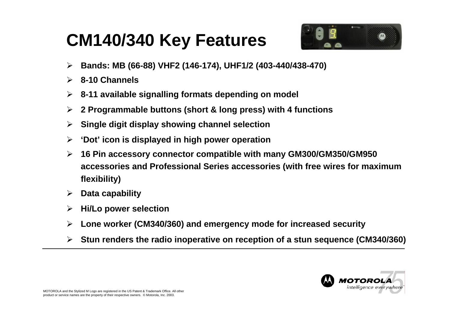### **CM140/340 Key Features**



- $\blacktriangleright$ **Bands: MB (66-88) VHF2 (146-174), UHF1/2 (403-440/438-470)**
- ¾ **8-10 Channels**
- $\blacktriangleright$ **8-11 available signalling formats depending on model**
- $\blacktriangleright$ **2 Programmable buttons (short & long press) with 4 functions**
- $\blacktriangleright$ **Single digit display showing channel selection**
- $\blacktriangleright$ **'Dot' icon is displayed in high power operation**
- $\blacktriangleright$  **16 Pin accessory connector compatible with many G M300/GM350/GM950 accessories and Professional Series accessories ( with free wires for maximum flexibility)**
- ¾ **Data capability**
- $\blacktriangleright$ **Hi/Lo power selection**
- $\blacktriangleright$ **Lone w orker (CM340/360) and emergency mode for increased security**
- ¾ **Stun renders t he radio inoperative on reception of a stun sequence (CM340/360)**

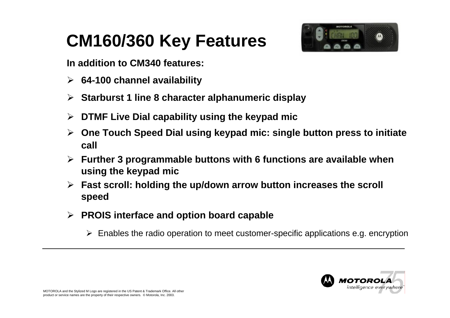# **CM160/360 Key Features**



**In addition to CM340 features:**

- ¾ **64-100 channel availability**
- ¾ **Starburst 1 line 8 character alphanumeric display**
- ¾ **DTMF Live Dial capability using the keypad mic**
- $\blacktriangleright$  **One Touch Speed Dial using keypad mic: single button press to initiate call**
- ¾ **Further 3 programmable buttons with 6 functions are available when using the keypad mic**
- ¾ **Fast scroll: holding the up/down arrow button increases the scroll speed**
- ¾ **PROIS interface and option board capable**
	- ¾ Enables the radio operation to meet customer-specific applications e.g. encryption